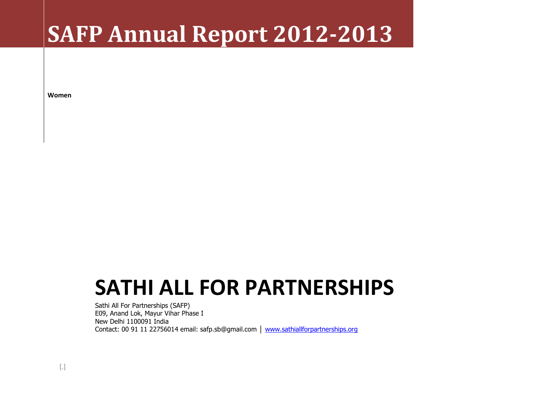# **SAFP Annual Report 2012-2013**

**Women**

# **SATHI ALL FOR PARTNERSHIPS**

Sathi All For Partnerships (SAFP) E09, Anand Lok, Mayur Vihar Phase I New Delhi 1100091 India Contact: 00 91 11 22756014 email: safp.sb@gmail.com │ [www.sathiallforpartnerships.org](http://www.sathiallforpartnerships.org/)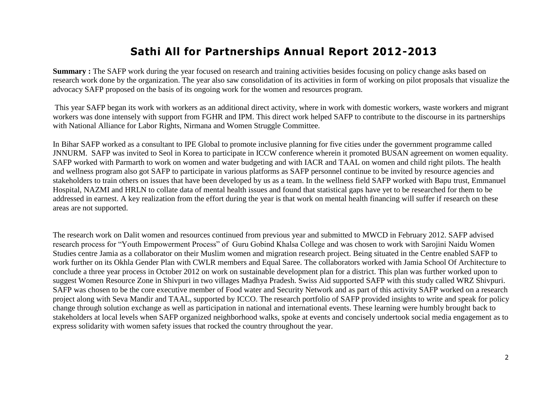# **Sathi All for Partnerships Annual Report 2012-2013**

**Summary**: The SAFP work during the year focused on research and training activities besides focusing on policy change asks based on research work done by the organization. The year also saw consolidation of its activities in form of working on pilot proposals that visualize the advocacy SAFP proposed on the basis of its ongoing work for the women and resources program.

This year SAFP began its work with workers as an additional direct activity, where in work with domestic workers, waste workers and migrant workers was done intensely with support from FGHR and IPM. This direct work helped SAFP to contribute to the discourse in its partnerships with National Alliance for Labor Rights, Nirmana and Women Struggle Committee.

In Bihar SAFP worked as a consultant to IPE Global to promote inclusive planning for five cities under the government programme called JNNURM. SAFP was invited to Seol in Korea to participate in ICCW conference wherein it promoted BUSAN agreement on women equality. SAFP worked with Parmarth to work on women and water budgeting and with IACR and TAAL on women and child right pilots. The health and wellness program also got SAFP to participate in various platforms as SAFP personnel continue to be invited by resource agencies and stakeholders to train others on issues that have been developed by us as a team. In the wellness field SAFP worked with Bapu trust, Emmanuel Hospital, NAZMI and HRLN to collate data of mental health issues and found that statistical gaps have yet to be researched for them to be addressed in earnest. A key realization from the effort during the year is that work on mental health financing will suffer if research on these areas are not supported.

The research work on Dalit women and resources continued from previous year and submitted to MWCD in February 2012. SAFP advised research process for "Youth Empowerment Process" of Guru Gobind Khalsa College and was chosen to work with Sarojini Naidu Women Studies centre Jamia as a collaborator on their Muslim women and migration research project. Being situated in the Centre enabled SAFP to work further on its Okhla Gender Plan with CWLR members and Equal Saree. The collaborators worked with Jamia School Of Architecture to conclude a three year process in October 2012 on work on sustainable development plan for a district. This plan was further worked upon to suggest Women Resource Zone in Shivpuri in two villages Madhya Pradesh. Swiss Aid supported SAFP with this study called WRZ Shivpuri. SAFP was chosen to be the core executive member of Food water and Security Network and as part of this activity SAFP worked on a research project along with Seva Mandir and TAAL, supported by ICCO. The research portfolio of SAFP provided insights to write and speak for policy change through solution exchange as well as participation in national and international events. These learning were humbly brought back to stakeholders at local levels when SAFP organized neighborhood walks, spoke at events and concisely undertook social media engagement as to express solidarity with women safety issues that rocked the country throughout the year.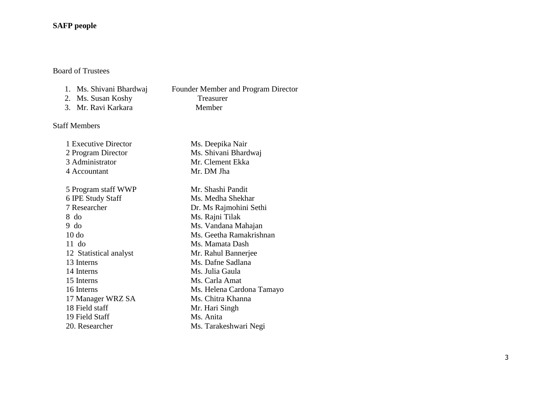#### **SAFP people**

## Board of Trustees

- 1. Ms. Shivani Bhardwaj Founder Member and Program Director<br>2. Ms. Susan Koshy Treasurer
- 2. Ms. Susan Koshy<br>
2. Mr. Ravi Karkara<br>
2. Mr. Ravi Karkara<br>
2. Member
- 3. Mr. Ravi Karkara

## Staff Members

| 1 Executive Director   | Ms. Deepika Nair          |
|------------------------|---------------------------|
| 2 Program Director     | Ms. Shivani Bhardwaj      |
| 3 Administrator        | Mr. Clement Ekka          |
| 4 Accountant           | Mr. DM Jha                |
| 5 Program staff WWP    | Mr. Shashi Pandit         |
| 6 IPE Study Staff      | Ms. Medha Shekhar         |
| 7 Researcher           | Dr. Ms Rajmohini Sethi    |
| 8 do                   | Ms. Rajni Tilak           |
| 9 do                   | Ms. Vandana Mahajan       |
| $10$ do                | Ms. Geetha Ramakrishnan   |
| $11$ do                | Ms. Mamata Dash           |
| 12 Statistical analyst | Mr. Rahul Bannerjee       |
| 13 Interns             | Ms. Dafne Sadlana         |
| 14 Interns             | Ms. Julia Gaula           |
| 15 Interns             | Ms. Carla Amat            |
| 16 Interns             | Ms. Helena Cardona Tamayo |
| 17 Manager WRZ SA      | Ms. Chitra Khanna         |
| 18 Field staff         | Mr. Hari Singh            |
| 19 Field Staff         | Ms. Anita                 |
| 20. Researcher         | Ms. Tarakeshwari Negi     |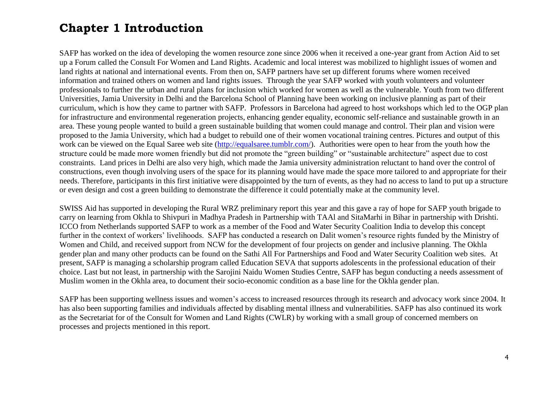# **Chapter 1 Introduction**

SAFP has worked on the idea of developing the women resource zone since 2006 when it received a one-year grant from Action Aid to set up a Forum called the Consult For Women and Land Rights. Academic and local interest was mobilized to highlight issues of women and land rights at national and international events. From then on, SAFP partners have set up different forums where women received information and trained others on women and land rights issues. Through the year SAFP worked with youth volunteers and volunteer professionals to further the urban and rural plans for inclusion which worked for women as well as the vulnerable. Youth from two different Universities, Jamia University in Delhi and the Barcelona School of Planning have been working on inclusive planning as part of their curriculum, which is how they came to partner with SAFP. Professors in Barcelona had agreed to host workshops which led to the OGP plan for infrastructure and environmental regeneration projects, enhancing gender equality, economic self-reliance and sustainable growth in an area. These young people wanted to build a green sustainable building that women could manage and control. Their plan and vision were proposed to the Jamia University, which had a budget to rebuild one of their women vocational training centres. Pictures and output of this work can be viewed on the Equal Saree web site [\(http://equalsaree.tumblr.com/\)](http://equalsaree.tumblr.com/). Authorities were open to hear from the youth how the structure could be made more women friendly but did not promote the "green building" or "sustainable architecture" aspect due to cost constraints. Land prices in Delhi are also very high, which made the Jamia university administration reluctant to hand over the control of constructions, even though involving users of the space for its planning would have made the space more tailored to and appropriate for their needs. Therefore, participants in this first initiative were disappointed by the turn of events, as they had no access to land to put up a structure or even design and cost a green building to demonstrate the difference it could potentially make at the community level.

SWISS Aid has supported in developing the Rural WRZ preliminary report this year and this gave a ray of hope for SAFP youth brigade to carry on learning from Okhla to Shivpuri in Madhya Pradesh in Partnership with TAAl and SitaMarhi in Bihar in partnership with Drishti. ICCO from Netherlands supported SAFP to work as a member of the Food and Water Security Coalition India to develop this concept further in the context of workers' livelihoods. SAFP has conducted a research on Dalit women's resource rights funded by the Ministry of Women and Child, and received support from NCW for the development of four projects on gender and inclusive planning. The Okhla gender plan and many other products can be found on the Sathi All For Partnerships and Food and Water Security Coalition web sites. At present, SAFP is managing a scholarship program called Education SEVA that supports adolescents in the professional education of their choice. Last but not least, in partnership with the Sarojini Naidu Women Studies Centre, SAFP has begun conducting a needs assessment of Muslim women in the Okhla area, to document their socio-economic condition as a base line for the Okhla gender plan.

SAFP has been supporting wellness issues and women's access to increased resources through its research and advocacy work since 2004. It has also been supporting families and individuals affected by disabling mental illness and vulnerabilities. SAFP has also continued its work as the Secretariat for of the Consult for Women and Land Rights (CWLR) by working with a small group of concerned members on processes and projects mentioned in this report.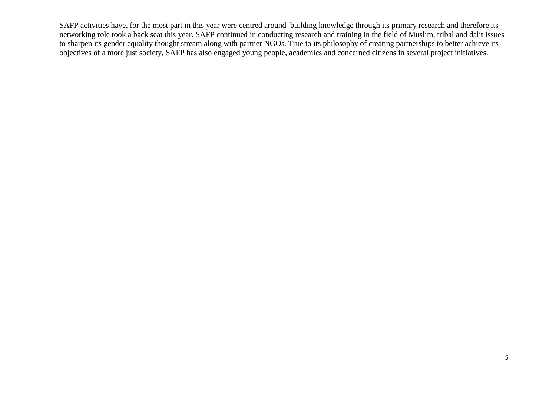SAFP activities have, for the most part in this year were centred around building knowledge through its primary research and therefore its networking role took a back seat this year. SAFP continued in conducting research and training in the field of Muslim, tribal and dalit issues to sharpen its gender equality thought stream along with partner NGOs. True to its philosophy of creating partnerships to better achieve its objectives of a more just society, SAFP has also engaged young people, academics and concerned citizens in several project initiatives.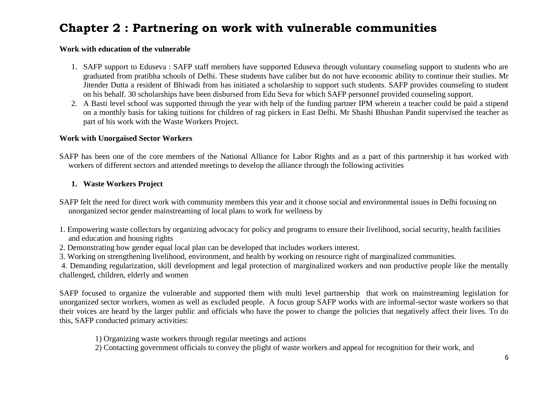# **Chapter 2 : Partnering on work with vulnerable communities**

#### **Work with education of the vulnerable**

- 1. SAFP support to Eduseva : SAFP staff members have supported Eduseva through voluntary counseling support to students who are graduated from pratibha schools of Delhi. These students have caliber but do not have economic ability to continue their studies. Mr Jitender Dutta a resident of Bhiwadi from has initiated a scholarship to support such students. SAFP provides counseling to student on his behalf. 30 scholarships have been disbursed from Edu Seva for which SAFP personnel provided counseling support.
- 2. A Basti level school was supported through the year with help of the funding partner IPM wherein a teacher could be paid a stipend on a monthly basis for taking tuitions for children of rag pickers in East Delhi. Mr Shashi Bhushan Pandit supervised the teacher as part of his work with the Waste Workers Project.

#### **Work with Unorgaised Sector Workers**

SAFP has been one of the core members of the National Alliance for Labor Rights and as a part of this partnership it has worked with workers of different sectors and attended meetings to develop the alliance through the following activities

### **1. Waste Workers Project**

- SAFP felt the need for direct work with community members this year and it choose social and environmental issues in Delhi focusing on unorganized sector gender mainstreaming of local plans to work for wellness by
- 1. Empowering waste collectors by organizing advocacy for policy and programs to ensure their livelihood, social security, health facilities and education and housing rights
- 2. Demonstrating how gender equal local plan can be developed that includes workers interest.
- 3. Working on strengthening livelihood, environment, and health by working on resource right of marginalized communities.

4. Demanding regularization, skill development and legal protection of marginalized workers and non productive people like the mentally challenged, children, elderly and women

SAFP focused to organize the vulnerable and supported them with multi level partnership that work on mainstreaming legislation for unorganized sector workers, women as well as excluded people. A focus group SAFP works with are informal-sector waste workers so that their voices are heard by the larger public and officials who have the power to change the policies that negatively affect their lives. To do this, SAFP conducted primary activities:

- 1) Organizing waste workers through regular meetings and actions
- 2) Contacting government officials to convey the plight of waste workers and appeal for recognition for their work, and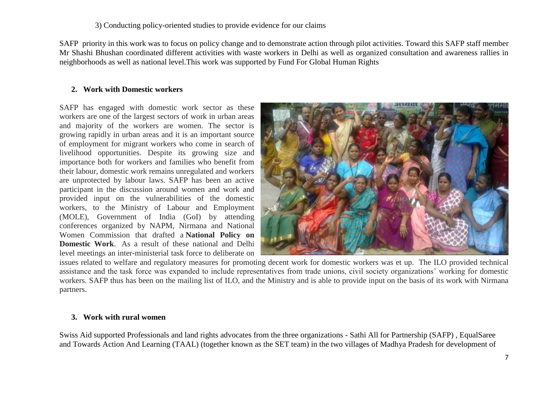#### 3) Conducting policy-oriented studies to provide evidence for our claims

SAFP priority in this work was to focus on policy change and to demonstrate action through pilot activities. Toward this SAFP staff member Mr Shashi Bhushan coordinated different activities with waste workers in Delhi as well as organized consultation and awareness rallies in neighborhoods as well as national level.This work was supported by Fund For Global Human Rights

#### **2. Work with Domestic workers**

SAFP has engaged with domestic work sector as these workers are one of the largest sectors of work in urban areas and majority of the workers are women. The sector is growing rapidly in urban areas and it is an important source of employment for migrant workers who come in search of livelihood opportunities. Despite its growing size and importance both for workers and families who benefit from their labour, domestic work remains unregulated and workers are unprotected by labour laws. SAFP has been an active participant in the discussion around women and work and provided input on the vulnerabilities of the domestic workers, to the Ministry of Labour and Employment (MOLE), Government of India (GoI) by attending conferences organized by NAPM, Nirmana and National Women Commission that drafted a **National Policy on Domestic Work**. As a result of these national and Delhi level meetings an inter-ministerial task force to deliberate on



issues related to welfare and regulatory measures for promoting decent work for domestic workers was et up. The ILO provided technical assistance and the task force was expanded to include representatives from trade unions, civil society organizations' working for domestic workers. SAFP thus has been on the mailing list of ILO, and the Ministry and is able to provide input on the basis of its work with Nirmana partners.

#### **3. Work with rural women**

Swiss Aid supported Professionals and land rights advocates from the three organizations - Sathi All for Partnership (SAFP) , EqualSaree and Towards Action And Learning (TAAL) (together known as the SET team) in the two villages of Madhya Pradesh for development of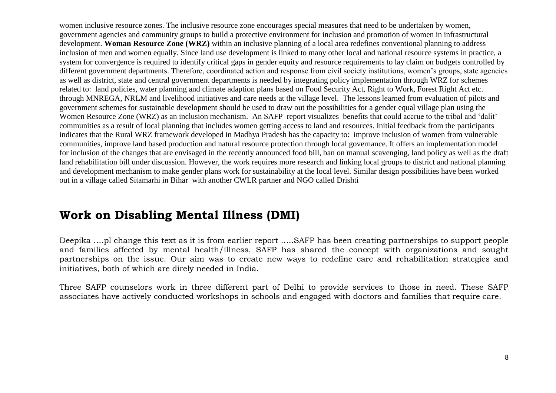women inclusive resource zones. The inclusive resource zone encourages special measures that need to be undertaken by women, government agencies and community groups to build a protective environment for inclusion and promotion of women in infrastructural development. **Woman Resource Zone (WRZ)** within an inclusive planning of a local area redefines conventional planning to address inclusion of men and women equally. Since land use development is linked to many other local and national resource systems in practice, a system for convergence is required to identify critical gaps in gender equity and resource requirements to lay claim on budgets controlled by different government departments. Therefore, coordinated action and response from civil society institutions, women's groups, state agencies as well as district, state and central government departments is needed by integrating policy implementation through WRZ for schemes related to: land policies, water planning and climate adaption plans based on Food Security Act, Right to Work, Forest Right Act etc. through MNREGA, NRLM and livelihood initiatives and care needs at the village level. The lessons learned from evaluation of pilots and government schemes for sustainable development should be used to draw out the possibilities for a gender equal village plan using the Women Resource Zone (WRZ) as an inclusion mechanism. An SAFP report visualizes benefits that could accrue to the tribal and 'dalit' communities as a result of local planning that includes women getting access to land and resources. Initial feedback from the participants indicates that the Rural WRZ framework developed in Madhya Pradesh has the capacity to: improve inclusion of women from vulnerable communities, improve land based production and natural resource protection through local governance. It offers an implementation model for inclusion of the changes that are envisaged in the recently announced food bill, ban on manual scavenging, land policy as well as the draft land rehabilitation bill under discussion. However, the work requires more research and linking local groups to district and national planning and development mechanism to make gender plans work for sustainability at the local level. Similar design possibilities have been worked out in a village called Sitamarhi in Bihar with another CWLR partner and NGO called Drishti

# **Work on Disabling Mental Illness (DMI)**

Deepika ….pl change this text as it is from earlier report …..SAFP has been creating partnerships to support people and families affected by mental health/illness. SAFP has shared the concept with organizations and sought partnerships on the issue. Our aim was to create new ways to redefine care and rehabilitation strategies and initiatives, both of which are direly needed in India.

Three SAFP counselors work in three different part of Delhi to provide services to those in need. These SAFP associates have actively conducted workshops in schools and engaged with doctors and families that require care.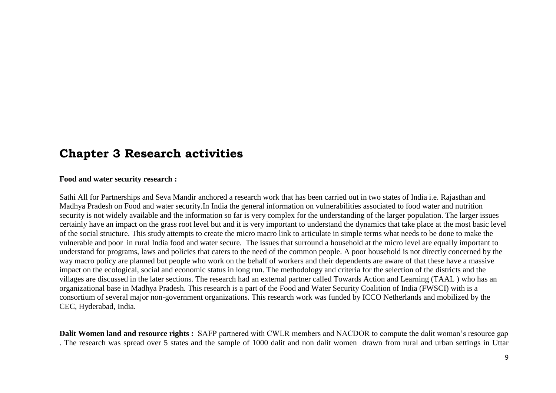## **Chapter 3 Research activities**

**Food and water security research :** 

Sathi All for Partnerships and Seva Mandir anchored a research work that has been carried out in two states of India i.e. Rajasthan and Madhya Pradesh on Food and water security.In India the general information on vulnerabilities associated to food water and nutrition security is not widely available and the information so far is very complex for the understanding of the larger population. The larger issues certainly have an impact on the grass root level but and it is very important to understand the dynamics that take place at the most basic level of the social structure. This study attempts to create the micro macro link to articulate in simple terms what needs to be done to make the vulnerable and poor in rural India food and water secure. The issues that surround a household at the micro level are equally important to understand for programs, laws and policies that caters to the need of the common people. A poor household is not directly concerned by the way macro policy are planned but people who work on the behalf of workers and their dependents are aware of that these have a massive impact on the ecological, social and economic status in long run. The methodology and criteria for the selection of the districts and the villages are discussed in the later sections. The research had an external partner called Towards Action and Learning (TAAL ) who has an organizational base in Madhya Pradesh. This research is a part of the Food and Water Security Coalition of India (FWSCI) with is a consortium of several major non-government organizations. This research work was funded by ICCO Netherlands and mobilized by the CEC, Hyderabad, India.

**Dalit Women land and resource rights :** SAFP partnered with CWLR members and NACDOR to compute the dalit woman's resource gap . The research was spread over 5 states and the sample of 1000 dalit and non dalit women drawn from rural and urban settings in Uttar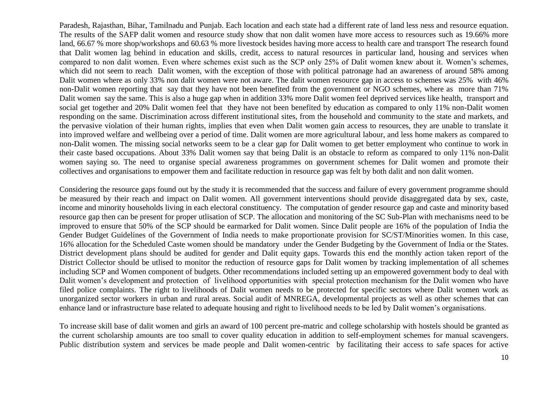Paradesh, Rajasthan, Bihar, Tamilnadu and Punjab. Each location and each state had a different rate of land less ness and resource equation. The results of the SAFP dalit women and resource study show that non dalit women have more access to resources such as 19.66% more land, 66.67 % more shop/workshops and 60.63 % more livestock besides having more access to health care and transport The research found that Dalit women lag behind in education and skills, credit, access to natural resources in particular land, housing and services when compared to non dalit women. Even where schemes exist such as the SCP only 25% of Dalit women knew about it. Women's schemes, which did not seem to reach Dalit women, with the exception of those with political patronage had an awareness of around 58% among Dalit women where as only 33% non dalit women were not aware. The dalit women resource gap in access to schemes was 25% with 46% non-Dalit women reporting that say that they have not been benefited from the government or NGO schemes, where as more than 71% Dalit women say the same. This is also a huge gap when in addition 33% more Dalit women feel deprived services like health, transport and social get together and 20% Dalit women feel that they have not been benefited by education as compared to only 11% non-Dalit women responding on the same. Discrimination across different institutional sites, from the household and community to the state and markets, and the pervasive violation of their human rights, implies that even when Dalit women gain access to resources, they are unable to translate it into improved welfare and wellbeing over a period of time. Dalit women are more agricultural labour, and less home makers as compared to non-Dalit women. The missing social networks seem to be a clear gap for Dalit women to get better employment who continue to work in their caste based occupations. About 33% Dalit women say that being Dalit is an obstacle to reform as compared to only 11% non-Dalit women saying so. The need to organise special awareness programmes on government schemes for Dalit women and promote their collectives and organisations to empower them and facilitate reduction in resource gap was felt by both dalit and non dalit women.

Considering the resource gaps found out by the study it is recommended that the success and failure of every government programme should be measured by their reach and impact on Dalit women. All government interventions should provide disaggregated data by sex, caste, income and minority households living in each electoral constituency. The computation of gender resource gap and caste and minority based resource gap then can be present for proper utlisation of SCP. The allocation and monitoring of the SC Sub-Plan with mechanisms need to be improved to ensure that 50% of the SCP should be earmarked for Dalit women. Since Dalit people are 16% of the population of India the Gender Budget Guidelines of the Government of India needs to make proportionate provision for SC/ST/Minorities women. In this case, 16% allocation for the Scheduled Caste women should be mandatory under the Gender Budgeting by the Government of India or the States. District development plans should be audited for gender and Dalit equity gaps. Towards this end the monthly action taken report of the District Collector should be utlised to monitor the reduction of resource gaps for Dalit women by tracking implementation of all schemes including SCP and Women component of budgets. Other recommendations included setting up an empowered government body to deal with Dalit women's development and protection of livelihood opportunities with special protection mechanism for the Dalit women who have filed police complaints. The right to livelihoods of Dalit women needs to be protected for specific sectors where Dalit women work as unorganized sector workers in urban and rural areas. Social audit of MNREGA, developmental projects as well as other schemes that can enhance land or infrastructure base related to adequate housing and right to livelihood needs to be led by Dalit women's organisations.

To increase skill base of dalit women and girls an award of 100 percent pre-matric and college scholarship with hostels should be granted as the current scholarship amounts are too small to cover quality education in addition to self-employment schemes for manual scavengers. Public distribution system and services be made people and Dalit women-centric by facilitating their access to safe spaces for active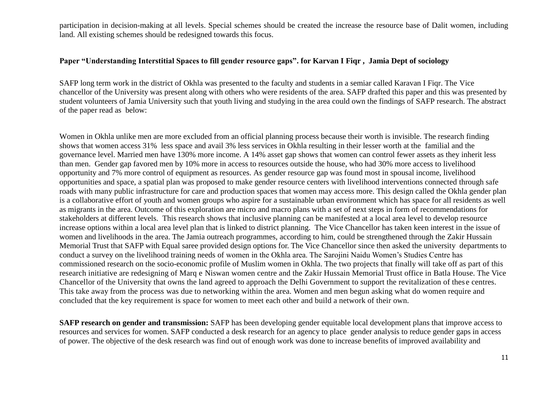participation in decision-making at all levels. Special schemes should be created the increase the resource base of Dalit women, including land. All existing schemes should be redesigned towards this focus.

#### **Paper "Understanding Interstitial Spaces to fill gender resource gaps". for Karvan I Fiqr , Jamia Dept of sociology**

SAFP long term work in the district of Okhla was presented to the faculty and students in a semiar called Karavan I Fiqr. The Vice chancellor of the University was present along with others who were residents of the area. SAFP drafted this paper and this was presented by student volunteers of Jamia University such that youth living and studying in the area could own the findings of SAFP research. The abstract of the paper read as below:

Women in Okhla unlike men are more excluded from an official planning process because their worth is invisible. The research finding shows that women access 31% less space and avail 3% less services in Okhla resulting in their lesser worth at the familial and the governance level. Married men have 130% more income. A 14% asset gap shows that women can control fewer assets as they inherit less than men. Gender gap favored men by 10% more in access to resources outside the house, who had 30% more access to livelihood opportunity and 7% more control of equipment as resources. As gender resource gap was found most in spousal income, livelihood opportunities and space, a spatial plan was proposed to make gender resource centers with livelihood interventions connected through safe roads with many public infrastructure for care and production spaces that women may access more. This design called the Okhla gender plan is a collaborative effort of youth and women groups who aspire for a sustainable urban environment which has space for all residents as well as migrants in the area. Outcome of this exploration are micro and macro plans with a set of next steps in form of recommendations for stakeholders at different levels. This research shows that inclusive planning can be manifested at a local area level to develop resource increase options within a local area level plan that is linked to district planning. The Vice Chancellor has taken keen interest in the issue of women and livelihoods in the area. The Jamia outreach programmes, according to him, could be strengthened through the Zakir Hussain Memorial Trust that SAFP with Equal saree provided design options for. The Vice Chancellor since then asked the university departments to conduct a survey on the livelihood training needs of women in the Okhla area. The Sarojini Naidu Women's Studies Centre has commissioned research on the socio-economic profile of Muslim women in Okhla. The two projects that finally will take off as part of this research initiative are redesigning of Marq e Niswan women centre and the Zakir Hussain Memorial Trust office in Batla House. The Vice Chancellor of the University that owns the land agreed to approach the Delhi Government to support the revitalization of thes e centres. This take away from the process was due to networking within the area. Women and men begun asking what do women require and concluded that the key requirement is space for women to meet each other and build a network of their own.

**SAFP research on gender and transmission:** SAFP has been developing gender equitable local development plans that improve access to resources and services for women. SAFP conducted a desk research for an agency to place gender analysis to reduce gender gaps in access of power. The objective of the desk research was find out of enough work was done to increase benefits of improved availability and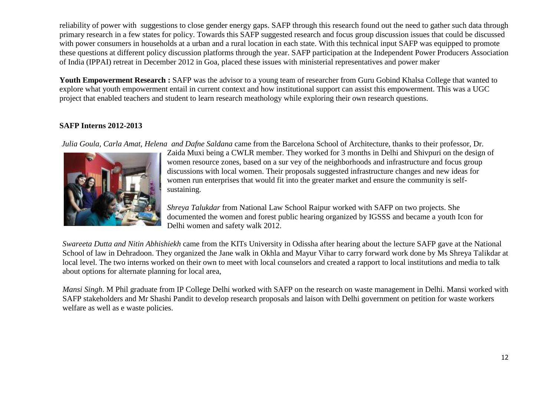reliability of power with suggestions to close gender energy gaps. SAFP through this research found out the need to gather such data through primary research in a few states for policy. Towards this SAFP suggested research and focus group discussion issues that could be discussed with power consumers in households at a urban and a rural location in each state. With this technical input SAFP was equipped to promote these questions at different policy discussion platforms through the year. SAFP participation at the Independent Power Producers Association of India (IPPAI) retreat in December 2012 in Goa, placed these issues with ministerial representatives and power maker

Youth Empowerment Research : SAFP was the advisor to a young team of researcher from Guru Gobind Khalsa College that wanted to explore what youth empowerment entail in current context and how institutional support can assist this empowerment. This was a UGC project that enabled teachers and student to learn research meathology while exploring their own research questions.

### **SAFP Interns 2012-2013**

*Julia Goula, Carla Amat, Helena and Dafne Saldana* came from the Barcelona School of Architecture, thanks to their professor, Dr.



Zaida Muxi being a CWLR member. They worked for 3 months in Delhi and Shivpuri on the design of women resource zones, based on a sur vey of the neighborhoods and infrastructure and focus group discussions with local women. Their proposals suggested infrastructure changes and new ideas for women run enterprises that would fit into the greater market and ensure the community is selfsustaining.

*Shreya Talukdar* from National Law School Raipur worked with SAFP on two projects. She documented the women and forest public hearing organized by IGSSS and became a youth Icon for Delhi women and safety walk 2012.

*Swareeta Dutta and Nitin Abhishiekh* came from the KITs University in Odissha after hearing about the lecture SAFP gave at the National School of law in Dehradoon. They organized the Jane walk in Okhla and Mayur Vihar to carry forward work done by Ms Shreya Talikdar at local level. The two interns worked on their own to meet with local counselors and created a rapport to local institutions and media to talk about options for alternate planning for local area,

*Mansi Singh*. M Phil graduate from IP College Delhi worked with SAFP on the research on waste management in Delhi. Mansi worked with SAFP stakeholders and Mr Shashi Pandit to develop research proposals and laison with Delhi government on petition for waste workers welfare as well as e waste policies.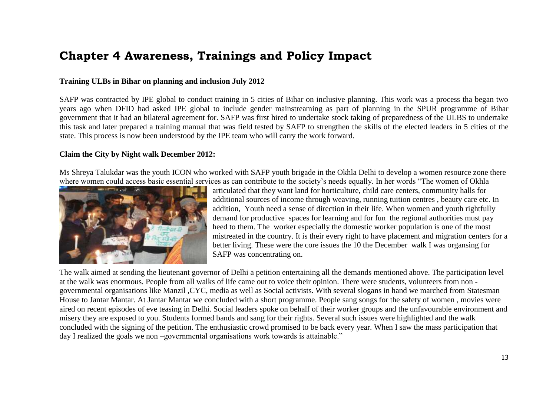# **Chapter 4 Awareness, Trainings and Policy Impact**

#### **Training ULBs in Bihar on planning and inclusion July 2012**

SAFP was contracted by IPE global to conduct training in 5 cities of Bihar on inclusive planning. This work was a process tha began two years ago when DFID had asked IPE global to include gender mainstreaming as part of planning in the SPUR programme of Bihar government that it had an bilateral agreement for. SAFP was first hired to undertake stock taking of preparedness of the ULBS to undertake this task and later prepared a training manual that was field tested by SAFP to strengthen the skills of the elected leaders in 5 cities of the state. This process is now been understood by the IPE team who will carry the work forward.

#### **Claim the City by Night walk December 2012:**

Ms Shreya Talukdar was the youth ICON who worked with SAFP youth brigade in the Okhla Delhi to develop a women resource zone there where women could access basic essential services as can contribute to the society's needs equally. In her words "The women of Okhla



articulated that they want land for horticulture, child care centers, community halls for additional sources of income through weaving, running tuition centres , beauty care etc. In addition, Youth need a sense of direction in their life. When women and youth rightfully demand for productive spaces for learning and for fun the regional authorities must pay heed to them. The worker especially the domestic worker population is one of the most mistreated in the country. It is their every right to have placement and migration centers for a better living. These were the core issues the 10 the December walk I was organsing for SAFP was concentrating on.

The walk aimed at sending the lieutenant governor of Delhi a petition entertaining all the demands mentioned above. The participation level at the walk was enormous. People from all walks of life came out to voice their opinion. There were students, volunteers from non governmental organisations like Manzil ,CYC, media as well as Social activists. With several slogans in hand we marched from Statesman House to Jantar Mantar. At Jantar Mantar we concluded with a short programme. People sang songs for the safety of women , movies were aired on recent episodes of eve teasing in Delhi. Social leaders spoke on behalf of their worker groups and the unfavourable environment and misery they are exposed to you. Students formed bands and sang for their rights. Several such issues were highlighted and the walk concluded with the signing of the petition. The enthusiastic crowd promised to be back every year. When I saw the mass participation that day I realized the goals we non –governmental organisations work towards is attainable."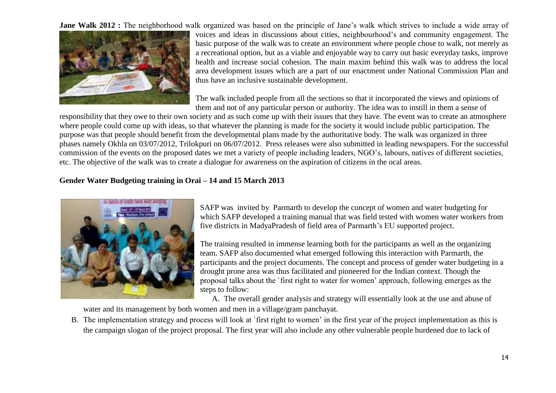**Jane Walk 2012 :** The neighborhood walk organized was based on the principle of Jane's walk which strives to include a wide array of



voices and ideas in discussions about cities, neighbourhood's and community engagement. The basic purpose of the walk was to create an environment where people chose to walk, not merely as a recreational option, but as a viable and enjoyable way to carry out basic everyday tasks, improve health and increase social cohesion. The main maxim behind this walk was to address the local area development issues which are a part of our enactment under National Commission Plan and thus have an inclusive sustainable development.

The walk included people from all the sections so that it incorporated the views and opinions of them and not of any particular person or authority. The idea was to instill in them a sense of

responsibility that they owe to their own society and as such come up with their issues that they have. The event was to create an atmosphere where people could come up with ideas, so that whatever the planning is made for the society it would include public participation. The purpose was that people should benefit from the developmental plans made by the authoritative body. The walk was organized in three phases namely Okhla on 03/07/2012, Trilokpuri on 06/07/2012. Press releases were also submitted in leading newspapers. For the successful commission of the events on the proposed dates we met a variety of people including leaders, NGO's, labours, natives of different societies, etc. The objective of the walk was to create a dialogue for awareness on the aspiration of citizens in the ocal areas.

#### **Gender Water Budgeting training in Orai – 14 and 15 March 2013**



SAFP was invited by Parmarth to develop the concept of women and water budgeting for which SAFP developed a training manual that was field tested with women water workers from five districts in MadyaPradesh of field area of Parmarth's EU supported project.

The training resulted in immense learning both for the participants as well as the organizing team. SAFP also documented what emerged following this interaction with Parmarth, the participants and the project documents. The concept and process of gender water budgeting in a drought prone area was thus facilitated and pioneered for the Indian context. Though the proposal talks about the `first right to water for women' approach, following emerges as the steps to follow:

A. The overall gender analysis and strategy will essentially look at the use and abuse of

water and its management by both women and men in a village/gram panchayat.

B. The implementation strategy and process will look at `first right to women' in the first year of the project implementation as this is the campaign slogan of the project proposal. The first year will also include any other vulnerable people burdened due to lack of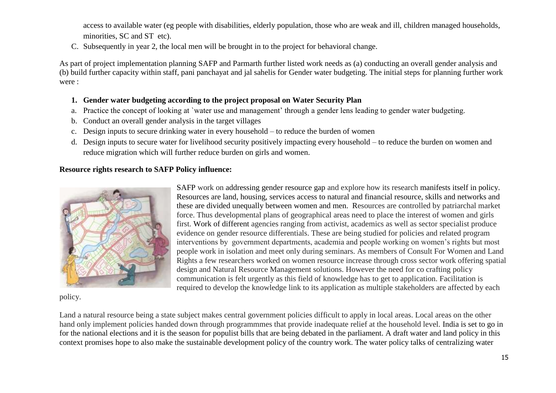access to available water (eg people with disabilities, elderly population, those who are weak and ill, children managed households, minorities, SC and ST etc).

C. Subsequently in year 2, the local men will be brought in to the project for behavioral change.

As part of project implementation planning SAFP and Parmarth further listed work needs as (a) conducting an overall gender analysis and (b) build further capacity within staff, pani panchayat and jal sahelis for Gender water budgeting. The initial steps for planning further work were :

## **1. Gender water budgeting according to the project proposal on Water Security Plan**

- a. Practice the concept of looking at `water use and management' through a gender lens leading to gender water budgeting.
- b. Conduct an overall gender analysis in the target villages
- c. Design inputs to secure drinking water in every household to reduce the burden of women
- d. Design inputs to secure water for livelihood security positively impacting every household to reduce the burden on women and reduce migration which will further reduce burden on girls and women.

## **Resource rights research to SAFP Policy influence:**



policy.

SAFP work on addressing gender resource gap and explore how its research manifests itself in policy. Resources are land, housing, services access to natural and financial resource, skills and networks and these are divided unequally between women and men. Resources are controlled by patriarchal market force. Thus developmental plans of geographical areas need to place the interest of women and girls first. Work of different agencies ranging from activist, academics as well as sector specialist produce evidence on gender resource differentials. These are being studied for policies and related program interventions by government departments, academia and people working on women's rights but most people work in isolation and meet only during seminars. As members of Consult For Women and Land Rights a few researchers worked on women resource increase through cross sector work offering spatial design and Natural Resource Management solutions. However the need for co crafting policy communication is felt urgently as this field of knowledge has to get to application. Facilitation is required to develop the knowledge link to its application as multiple stakeholders are affected by each

Land a natural resource being a state subject makes central government policies difficult to apply in local areas. Local areas on the other hand only implement policies handed down through programmmes that provide inadequate relief at the household level. India is set to go in for the national elections and it is the season for populist bills that are being debated in the parliament. A draft water and land policy in this context promises hope to also make the sustainable development policy of the country work. The water policy talks of centralizing water